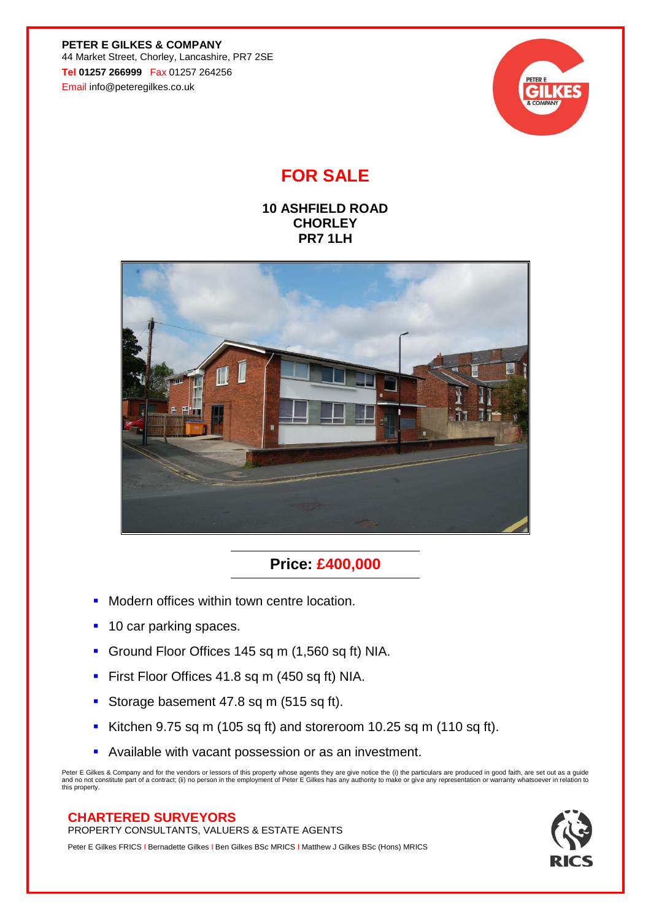**PETER E GILKES & COMPANY** 44 Market Street, Chorley, Lancashire, PR7 2SE **Tel 01257 266999** Fax 01257 264256 Email info@peteregilkes.co.uk



# **FOR SALE**

### **10 ASHFIELD ROAD CHORLEY PR7 1LH**



## **Price: £400,000**

- **■** Modern offices within town centre location.
- 10 car parking spaces.
- Ground Floor Offices 145 sq m (1,560 sq ft) NIA.
- **First Floor Offices 41.8 sq m (450 sq ft) NIA.**
- **Storage basement 47.8 sq m (515 sq ft).**
- Kitchen 9.75 sq m (105 sq ft) and storeroom 10.25 sq m (110 sq ft).
- Available with vacant possession or as an investment.

Peter E Gilkes & Company and for the vendors or lessors of this property whose agents they are give notice the (i) the particulars are produced in good faith, are set out as a guide<br>and no not constitute part of a contract this property.

### **CHARTERED SURVEYORS**

PROPERTY CONSULTANTS, VALUERS & ESTATE AGENTS

Peter E Gilkes FRICS I Bernadette Gilkes I Ben Gilkes BSc MRICS I Matthew J Gilkes BSc (Hons) MRICS

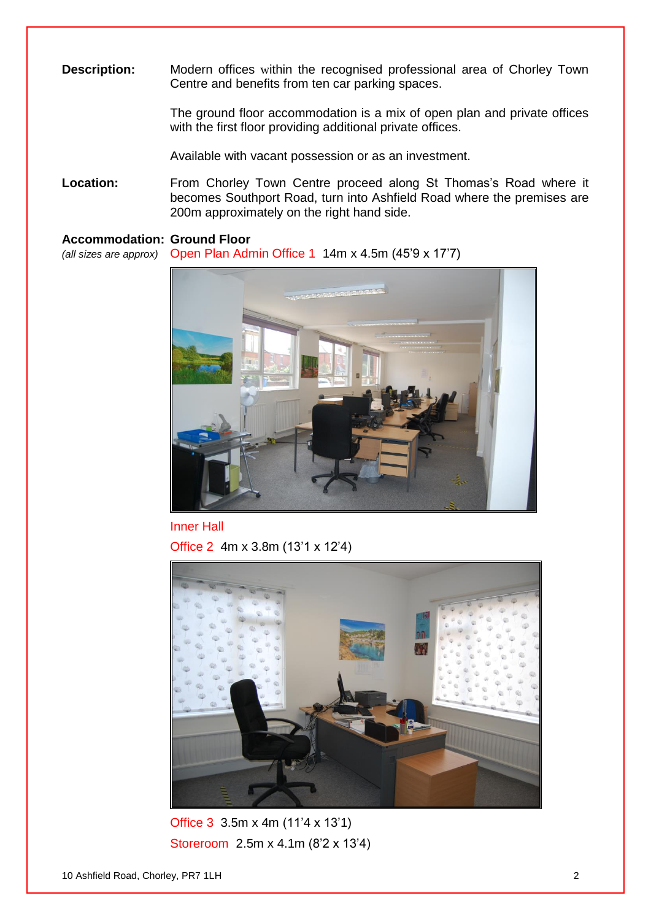**Description:** Modern offices within the recognised professional area of Chorley Town Centre and benefits from ten car parking spaces.

> The ground floor accommodation is a mix of open plan and private offices with the first floor providing additional private offices.

Available with vacant possession or as an investment.

Location: From Chorley Town Centre proceed along St Thomas's Road where it becomes Southport Road, turn into Ashfield Road where the premises are 200m approximately on the right hand side.

#### **Accommodation: Ground Floor**

*(all sizes are approx)* Open Plan Admin Office 1 14m x 4.5m (45'9 x 17'7)



Inner Hall

Office 2 4m x 3.8m (13'1 x 12'4)



Office 3 3.5m x 4m (11'4 x 13'1) Storeroom 2.5m x 4.1m (8'2 x 13'4)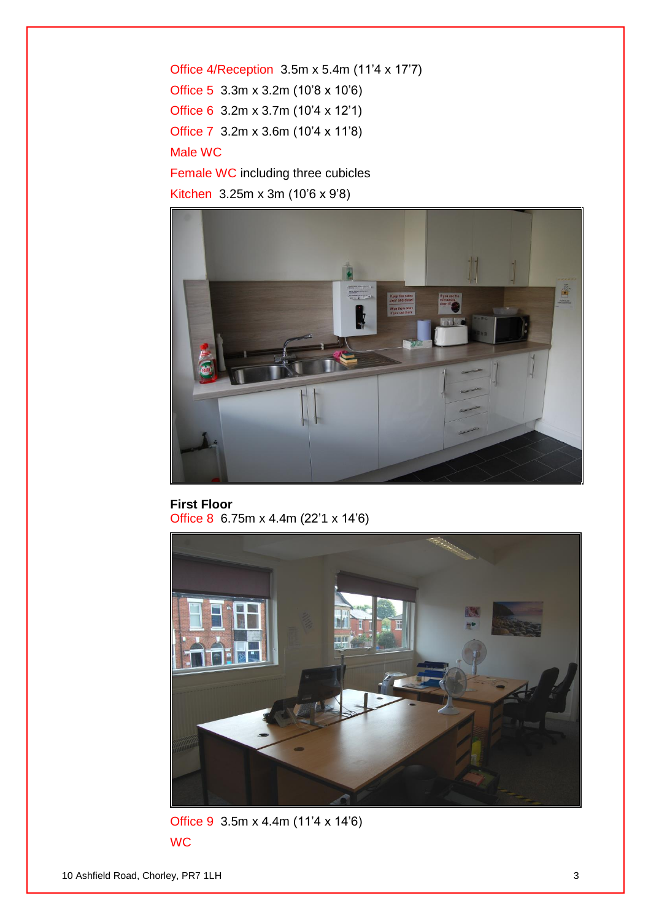Office 4/Reception 3.5m x 5.4m (11'4 x 17'7) Office 5 3.3m x 3.2m (10'8 x 10'6) Office 6 3.2m x 3.7m (10'4 x 12'1) Office 7 3.2m x 3.6m (10'4 x 11'8) Male WC Female WC including three cubicles



**First Floor** Office 8 6.75m x 4.4m (22'1 x 14'6)



Office 9 3.5m x 4.4m (11'4 x 14'6) **WC**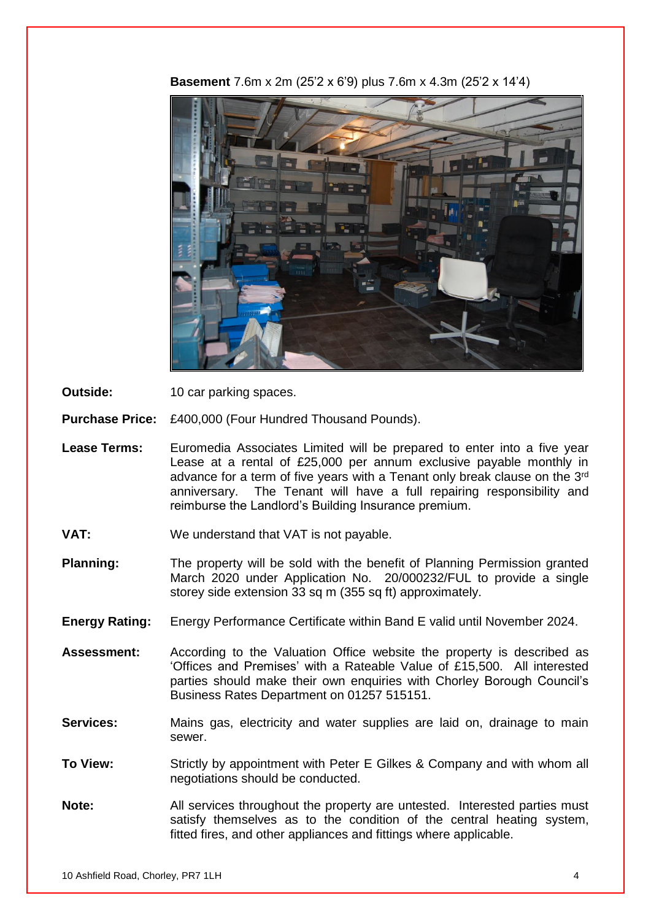

**Basement** 7.6m x 2m (25'2 x 6'9) plus 7.6m x 4.3m (25'2 x 14'4)

**Outside:** 10 car parking spaces.

**Purchase Price:** £400,000 (Four Hundred Thousand Pounds).

- Lease Terms: Euromedia Associates Limited will be prepared to enter into a five year Lease at a rental of £25,000 per annum exclusive payable monthly in advance for a term of five years with a Tenant only break clause on the 3<sup>rd</sup> anniversary. The Tenant will have a full repairing responsibility and reimburse the Landlord's Building Insurance premium.
- **VAT:** We understand that VAT is not payable.
- **Planning:** The property will be sold with the benefit of Planning Permission granted March 2020 under Application No. 20/000232/FUL to provide a single storey side extension 33 sq m (355 sq ft) approximately.
- **Energy Rating:** Energy Performance Certificate within Band E valid until November 2024.
- **Assessment:** According to the Valuation Office website the property is described as 'Offices and Premises' with a Rateable Value of £15,500. All interested parties should make their own enquiries with Chorley Borough Council's Business Rates Department on 01257 515151.
- **Services:** Mains gas, electricity and water supplies are laid on, drainage to main sewer.
- **To View:** Strictly by appointment with Peter E Gilkes & Company and with whom all negotiations should be conducted.
- **Note:** All services throughout the property are untested. Interested parties must satisfy themselves as to the condition of the central heating system, fitted fires, and other appliances and fittings where applicable.